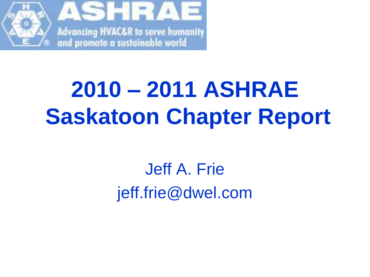

# **2010 – 2011 ASHRAE Saskatoon Chapter Report**

#### Jeff A. Frie jeff.frie@dwel.com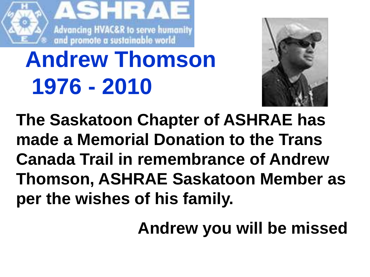

# **Andrew Thomson 1976 - 2010**



**The Saskatoon Chapter of ASHRAE has made a Memorial Donation to the Trans Canada Trail in remembrance of Andrew Thomson, ASHRAE Saskatoon Member as per the wishes of his family.**

**Andrew you will be missed**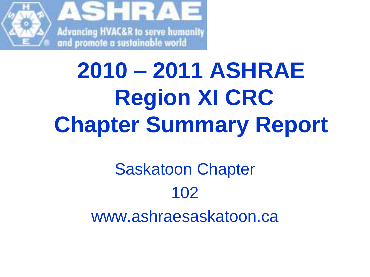

# **2010 – 2011 ASHRAE Region XI CRC Chapter Summary Report**

### Saskatoon Chapter 102 www.ashraesaskatoon.ca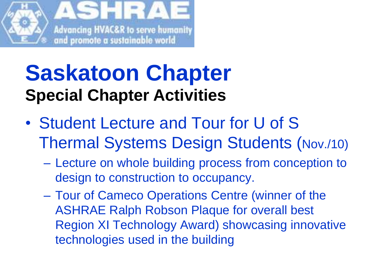

## **Saskatoon Chapter Special Chapter Activities**

- Student Lecture and Tour for U of S Thermal Systems Design Students (Nov./10)
	- Lecture on whole building process from conception to design to construction to occupancy.
	- Tour of Cameco Operations Centre (winner of the ASHRAE Ralph Robson Plaque for overall best Region XI Technology Award) showcasing innovative technologies used in the building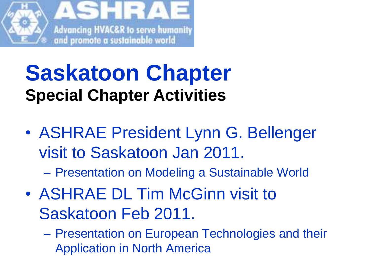

### **Saskatoon Chapter Special Chapter Activities**

- ASHRAE President Lynn G. Bellenger visit to Saskatoon Jan 2011.
	- Presentation on Modeling a Sustainable World
- ASHRAE DL Tim McGinn visit to Saskatoon Feb 2011.
	- Presentation on European Technologies and their Application in North America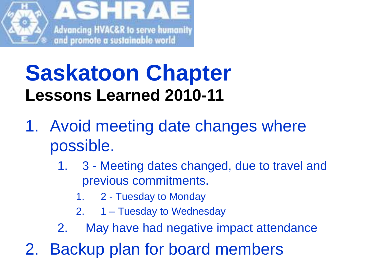

### **Saskatoon Chapter Lessons Learned 2010-11**

- 1. Avoid meeting date changes where possible.
	- 1. 3 Meeting dates changed, due to travel and previous commitments.
		- 1. 2 Tuesday to Monday
		- 2. 1 Tuesday to Wednesday
	- 2. May have had negative impact attendance
- 2. Backup plan for board members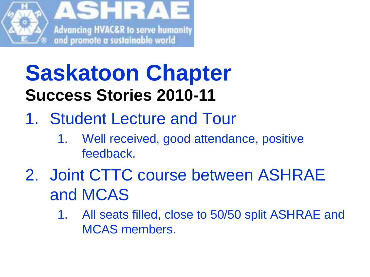

## **Saskatoon Chapter Success Stories 2010-11**

- 1. Student Lecture and Tour
	- 1. Well received, good attendance, positive feedback.
- 2. Joint CTTC course between ASHRAE and MCAS
	- 1. All seats filled, close to 50/50 split ASHRAE and MCAS members.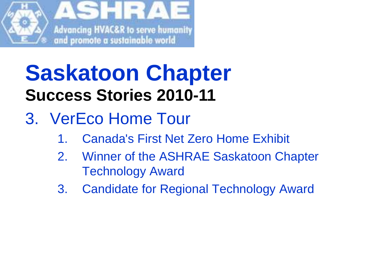

## **Saskatoon Chapter Success Stories 2010-11**

- 3. VerEco Home Tour
	- 1. Canada's First Net Zero Home Exhibit
	- 2. Winner of the ASHRAE Saskatoon Chapter Technology Award
	- 3. Candidate for Regional Technology Award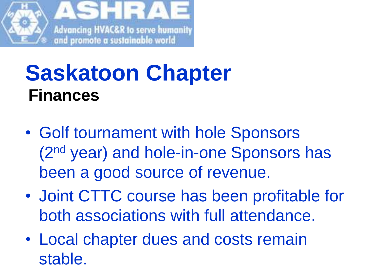

#### **Saskatoon Chapter Finances**

- Golf tournament with hole Sponsors (2nd year) and hole-in-one Sponsors has been a good source of revenue.
- Joint CTTC course has been profitable for both associations with full attendance.
- Local chapter dues and costs remain stable.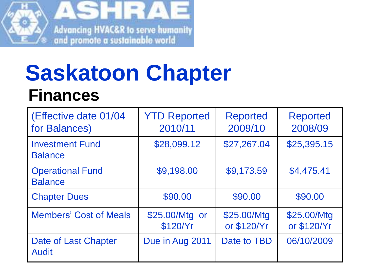

#### **Saskatoon Chapter Finances**

| (Effective date 01/04<br>for Balances)      | <b>YTD Reported</b><br>2010/11 | <b>Reported</b><br>2009/10 | <b>Reported</b><br>2008/09 |
|---------------------------------------------|--------------------------------|----------------------------|----------------------------|
| <b>Investment Fund</b><br><b>Balance</b>    | \$28,099.12                    | \$27,267.04                | \$25,395.15                |
| <b>Operational Fund</b><br><b>Balance</b>   | \$9,198.00                     | \$9,173.59                 | \$4,475.41                 |
| <b>Chapter Dues</b>                         | \$90.00                        | \$90.00                    | \$90.00                    |
| <b>Members' Cost of Meals</b>               | \$25.00/Mtg or<br>\$120/Yr     | \$25.00/Mtg<br>or \$120/Yr | \$25.00/Mtg<br>or \$120/Yr |
| <b>Date of Last Chapter</b><br><b>Audit</b> | Due in Aug 2011                | Date to TBD                | 06/10/2009                 |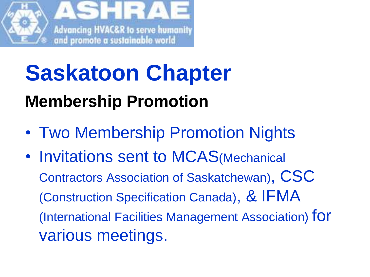

# **Saskatoon Chapter Membership Promotion**

- Two Membership Promotion Nights
- Invitations sent to MCAS(Mechanical Contractors Association of Saskatchewan), CSC (Construction Specification Canada), & IFMA (International Facilities Management Association) for various meetings.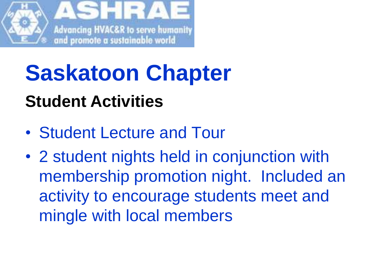

#### **Student Activities**

- Student Lecture and Tour
- 2 student nights held in conjunction with membership promotion night. Included an activity to encourage students meet and mingle with local members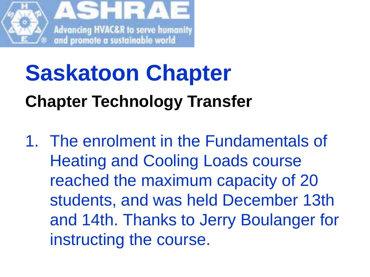

# **Saskatoon Chapter Chapter Technology Transfer**

1. The enrolment in the Fundamentals of Heating and Cooling Loads course reached the maximum capacity of 20 students, and was held December 13th and 14th. Thanks to Jerry Boulanger for instructing the course.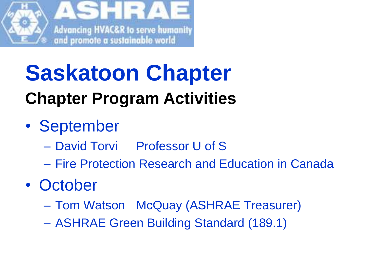

- September
	- David Torvi Professor U of S
	- Fire Protection Research and Education in Canada
- October
	- Tom Watson McQuay (ASHRAE Treasurer)
	- ASHRAE Green Building Standard (189.1)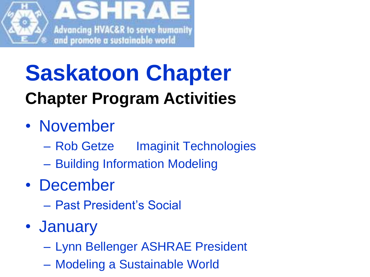

- November
	- Rob Getze Imaginit Technologies
	- Building Information Modeling
- December
	- Past President's Social
- January
	- Lynn Bellenger ASHRAE President
	- Modeling a Sustainable World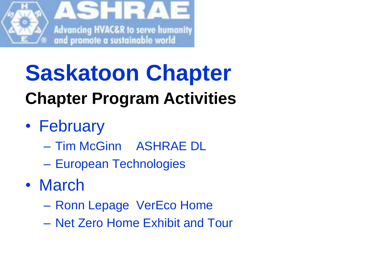

- February
	- Tim McGinn ASHRAE DL
	- European Technologies
- March
	- Ronn Lepage VerEco Home
	- Net Zero Home Exhibit and Tour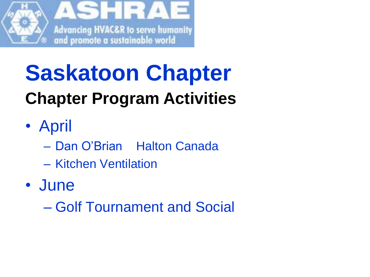

- April
	- Dan O'Brian Halton Canada
	- Kitchen Ventilation
- June
	- Golf Tournament and Social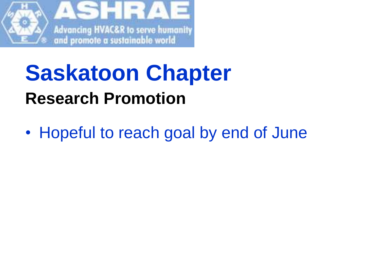

## **Saskatoon Chapter Research Promotion**

• Hopeful to reach goal by end of June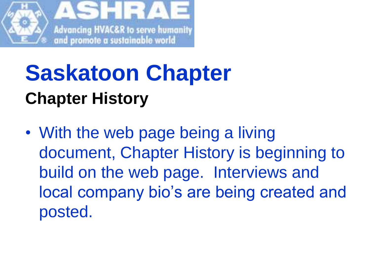

# **Saskatoon Chapter Chapter History**

• With the web page being a living document, Chapter History is beginning to build on the web page. Interviews and local company bio's are being created and posted.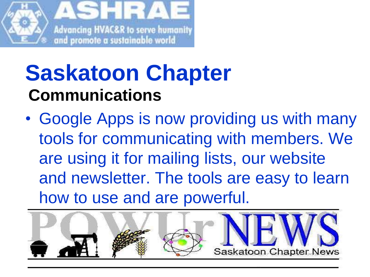

## **Saskatoon Chapter Communications**

• Google Apps is now providing us with many tools for communicating with members. We are using it for mailing lists, our website and newsletter. The tools are easy to learn how to use and are powerful.

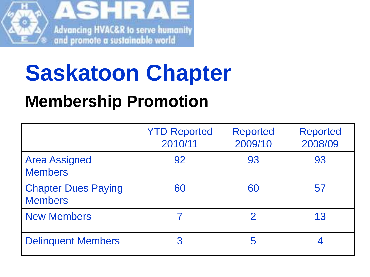

#### **Membership Promotion**

|                                              | <b>YTD Reported</b><br>2010/11 | <b>Reported</b><br>2009/10 | <b>Reported</b><br>2008/09 |
|----------------------------------------------|--------------------------------|----------------------------|----------------------------|
| <b>Area Assigned</b><br><b>Members</b>       | 92                             | 93                         | 93                         |
| <b>Chapter Dues Paying</b><br><b>Members</b> | 60                             | 60                         | 57                         |
| <b>New Members</b>                           |                                |                            | 13                         |
| <b>Delinquent Members</b>                    | 3                              | 5                          |                            |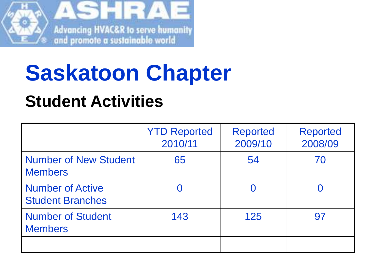

#### **Student Activities**

|                                                    | <b>YTD Reported</b><br>2010/11 | <b>Reported</b><br>2009/10 | <b>Reported</b><br>2008/09 |
|----------------------------------------------------|--------------------------------|----------------------------|----------------------------|
| <b>Number of New Student</b><br><b>Members</b>     | 65                             | 54                         | 70                         |
| <b>Number of Active</b><br><b>Student Branches</b> |                                |                            |                            |
| <b>Number of Student</b><br><b>Members</b>         | 143                            | 125                        | 97                         |
|                                                    |                                |                            |                            |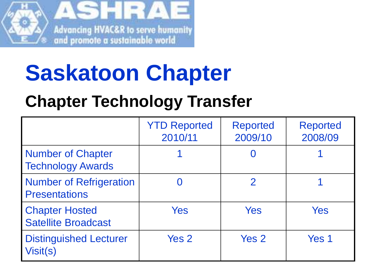

#### **Chapter Technology Transfer**

|                                                        | <b>YTD Reported</b><br>2010/11 | <b>Reported</b><br>2009/10 | <b>Reported</b><br>2008/09 |
|--------------------------------------------------------|--------------------------------|----------------------------|----------------------------|
| <b>Number of Chapter</b><br><b>Technology Awards</b>   |                                |                            |                            |
| <b>Number of Refrigeration</b><br><b>Presentations</b> |                                | $\mathcal P$               |                            |
| <b>Chapter Hosted</b><br><b>Satellite Broadcast</b>    | Yes                            | Yes                        | Yes                        |
| <b>Distinguished Lecturer</b><br>Visit(s)              | Yes 2                          | Yes 2                      | Yes 1                      |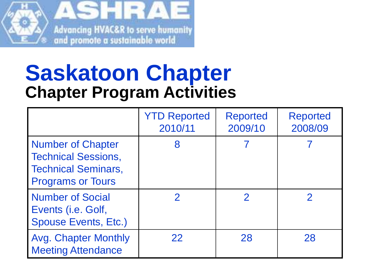

|                                                                                                                  | <b>YTD Reported</b><br>2010/11 | <b>Reported</b><br>2009/10 | <b>Reported</b><br>2008/09 |
|------------------------------------------------------------------------------------------------------------------|--------------------------------|----------------------------|----------------------------|
| <b>Number of Chapter</b><br><b>Technical Sessions,</b><br><b>Technical Seminars,</b><br><b>Programs or Tours</b> | 8                              |                            |                            |
| <b>Number of Social</b><br>Events (i.e. Golf,<br><b>Spouse Events, Etc.)</b>                                     |                                | $\mathcal P$               |                            |
| <b>Avg. Chapter Monthly</b><br><b>Meeting Attendance</b>                                                         | 22                             | 28                         | 28                         |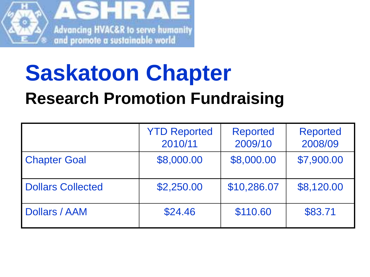

## **Saskatoon Chapter Research Promotion Fundraising**

|                          | <b>YTD Reported</b><br>2010/11 | <b>Reported</b><br>2009/10 | <b>Reported</b><br>2008/09 |
|--------------------------|--------------------------------|----------------------------|----------------------------|
| <b>Chapter Goal</b>      | \$8,000.00                     | \$8,000.00                 | \$7,900.00                 |
| <b>Dollars Collected</b> | \$2,250.00                     | \$10,286.07                | \$8,120.00                 |
| <b>Dollars / AAM</b>     | \$24.46                        | \$110.60                   | \$83.71                    |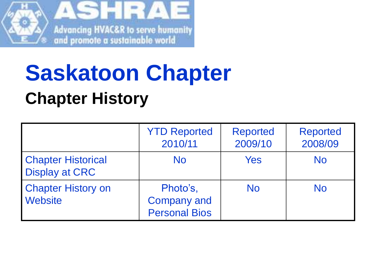

# **Saskatoon Chapter Chapter History**

|                                                    | <b>YTD Reported</b><br>2010/11                         | <b>Reported</b><br>2009/10 | <b>Reported</b><br>2008/09 |
|----------------------------------------------------|--------------------------------------------------------|----------------------------|----------------------------|
| <b>Chapter Historical</b><br><b>Display at CRC</b> | <b>No</b>                                              | Yes                        | <b>No</b>                  |
| <b>Chapter History on</b><br><b>Website</b>        | Photo's,<br><b>Company and</b><br><b>Personal Bios</b> | <b>No</b>                  | <b>No</b>                  |